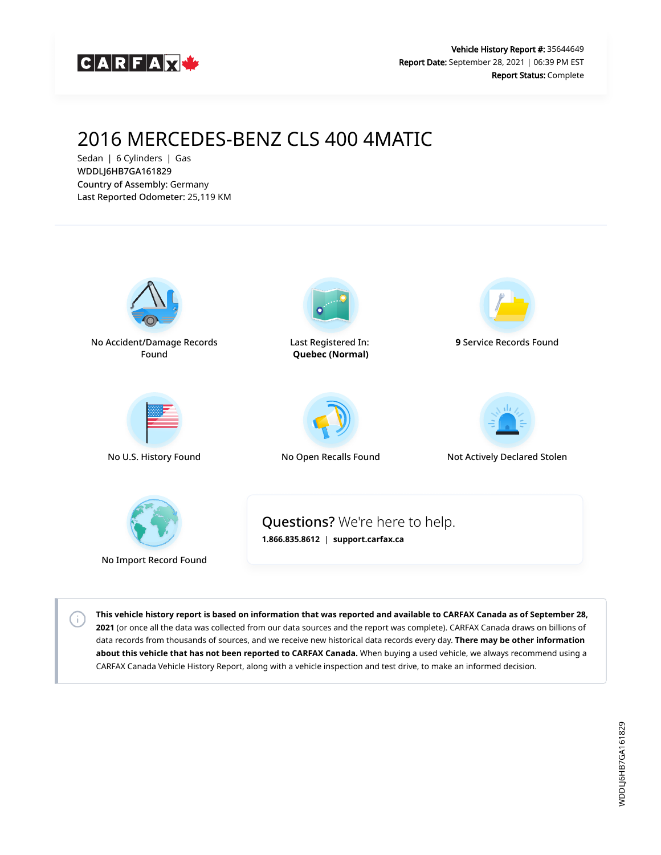

# 2016 MERCEDES-BENZ CLS 400 4MATIC

Sedan | 6 Cylinders | Gas WDDLJ6HB7GA161829 Country of Assembly: Germany Last Reported Odometer: 25,119 KM

 $\left( \cdot \right)$ 



**This vehicle history report is based on information that was reported and available to CARFAX Canada as of September 28, 2021** (or once all the data was collected from our data sources and the report was complete). CARFAX Canada draws on billions of data records from thousands of sources, and we receive new historical data records every day. **There may be other information about this vehicle that has not been reported to CARFAX Canada.** When buying a used vehicle, we always recommend using a CARFAX Canada Vehicle History Report, along with a vehicle inspection and test drive, to make an informed decision.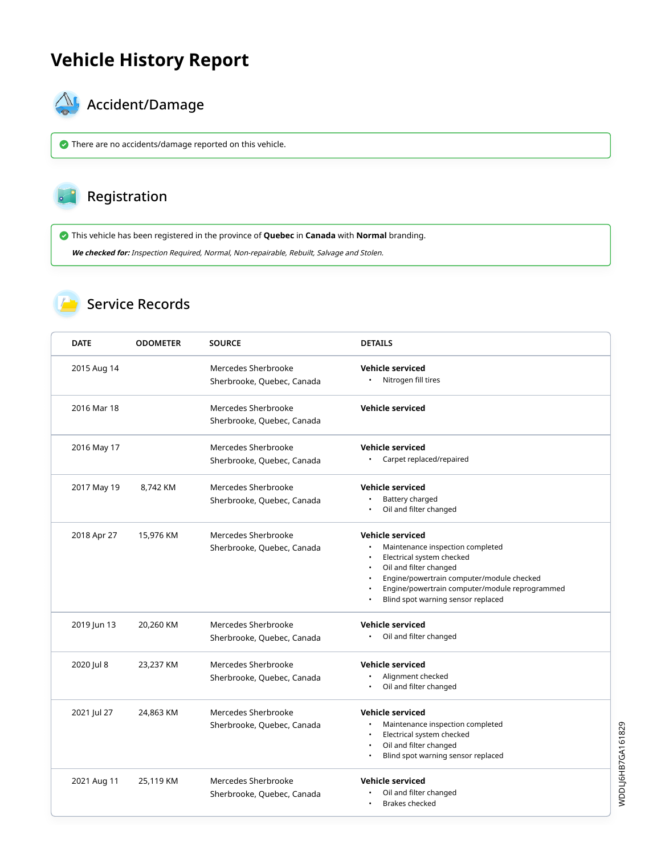# **Vehicle History Report**



# $\bigotimes$  Accident/Damage

There are no accidents/damage reported on this vehicle.

### Registration

This vehicle has been registered in the province of **Quebec** in **Canada** with **Normal** branding.

**We checked for:** Inspection Required, Normal, Non-repairable, Rebuilt, Salvage and Stolen.

#### Service Records

| <b>DATE</b> | <b>ODOMETER</b> | <b>SOURCE</b>                                     | <b>DETAILS</b>                                                                                                                                                                                                                                          |
|-------------|-----------------|---------------------------------------------------|---------------------------------------------------------------------------------------------------------------------------------------------------------------------------------------------------------------------------------------------------------|
| 2015 Aug 14 |                 | Mercedes Sherbrooke<br>Sherbrooke, Quebec, Canada | <b>Vehicle serviced</b><br>Nitrogen fill tires                                                                                                                                                                                                          |
| 2016 Mar 18 |                 | Mercedes Sherbrooke<br>Sherbrooke, Quebec, Canada | <b>Vehicle serviced</b>                                                                                                                                                                                                                                 |
| 2016 May 17 |                 | Mercedes Sherbrooke<br>Sherbrooke, Quebec, Canada | <b>Vehicle serviced</b><br>Carpet replaced/repaired                                                                                                                                                                                                     |
| 2017 May 19 | 8,742 KM        | Mercedes Sherbrooke<br>Sherbrooke, Quebec, Canada | <b>Vehicle serviced</b><br>Battery charged<br>Oil and filter changed                                                                                                                                                                                    |
| 2018 Apr 27 | 15,976 KM       | Mercedes Sherbrooke<br>Sherbrooke, Quebec, Canada | <b>Vehicle serviced</b><br>Maintenance inspection completed<br>Electrical system checked<br>Oil and filter changed<br>Engine/powertrain computer/module checked<br>Engine/powertrain computer/module reprogrammed<br>Blind spot warning sensor replaced |
| 2019 Jun 13 | 20,260 KM       | Mercedes Sherbrooke<br>Sherbrooke, Quebec, Canada | <b>Vehicle serviced</b><br>Oil and filter changed                                                                                                                                                                                                       |
| 2020 Jul 8  | 23,237 KM       | Mercedes Sherbrooke<br>Sherbrooke, Quebec, Canada | <b>Vehicle serviced</b><br>Alignment checked<br>Oil and filter changed<br>$\bullet$                                                                                                                                                                     |
| 2021 Jul 27 | 24,863 KM       | Mercedes Sherbrooke<br>Sherbrooke, Quebec, Canada | <b>Vehicle serviced</b><br>Maintenance inspection completed<br>Electrical system checked<br>Oil and filter changed<br>Blind spot warning sensor replaced                                                                                                |
| 2021 Aug 11 | 25,119 KM       | Mercedes Sherbrooke<br>Sherbrooke, Quebec, Canada | <b>Vehicle serviced</b><br>Oil and filter changed<br><b>Brakes checked</b><br>$\bullet$                                                                                                                                                                 |

WDDLJ6HB7GA161829 WDDLJ6HB7GA161829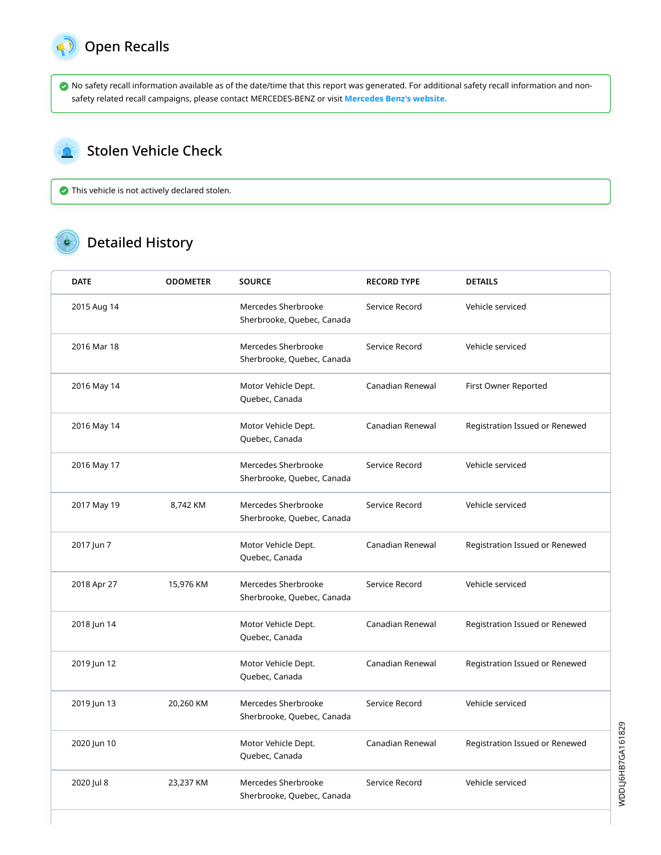

 $\mathbf{r}$ 

 No safety recall information available as of the date/time that this report was generated. For additional safety recall information and nonsafety related recall campaigns, please contact MERCEDES-BENZ or visit **[Mercedes Benz's website.](http://www.mbusa.com/mercedes/recall)**

#### Stolen Vehicle Check

This vehicle is not actively declared stolen.

## Detailed History

| <b>DATE</b> | <b>ODOMETER</b> | <b>SOURCE</b>                                     | <b>RECORD TYPE</b> | <b>DETAILS</b>                 |
|-------------|-----------------|---------------------------------------------------|--------------------|--------------------------------|
| 2015 Aug 14 |                 | Mercedes Sherbrooke<br>Sherbrooke, Quebec, Canada | Service Record     | Vehicle serviced               |
| 2016 Mar 18 |                 | Mercedes Sherbrooke<br>Sherbrooke, Quebec, Canada | Service Record     | Vehicle serviced               |
| 2016 May 14 |                 | Motor Vehicle Dept.<br>Quebec, Canada             | Canadian Renewal   | First Owner Reported           |
| 2016 May 14 |                 | Motor Vehicle Dept.<br>Quebec, Canada             | Canadian Renewal   | Registration Issued or Renewed |
| 2016 May 17 |                 | Mercedes Sherbrooke<br>Sherbrooke, Quebec, Canada | Service Record     | Vehicle serviced               |
| 2017 May 19 | 8,742 KM        | Mercedes Sherbrooke<br>Sherbrooke, Quebec, Canada | Service Record     | Vehicle serviced               |
| 2017 Jun 7  |                 | Motor Vehicle Dept.<br>Quebec, Canada             | Canadian Renewal   | Registration Issued or Renewed |
| 2018 Apr 27 | 15,976 KM       | Mercedes Sherbrooke<br>Sherbrooke, Quebec, Canada | Service Record     | Vehicle serviced               |
| 2018 Jun 14 |                 | Motor Vehicle Dept.<br>Quebec, Canada             | Canadian Renewal   | Registration Issued or Renewed |
| 2019 Jun 12 |                 | Motor Vehicle Dept.<br>Quebec, Canada             | Canadian Renewal   | Registration Issued or Renewed |
| 2019 Jun 13 | 20,260 KM       | Mercedes Sherbrooke<br>Sherbrooke, Quebec, Canada | Service Record     | Vehicle serviced               |
| 2020 Jun 10 |                 | Motor Vehicle Dept.<br>Quebec, Canada             | Canadian Renewal   | Registration Issued or Renewed |
| 2020 Jul 8  | 23,237 KM       | Mercedes Sherbrooke<br>Sherbrooke, Quebec, Canada | Service Record     | Vehicle serviced               |